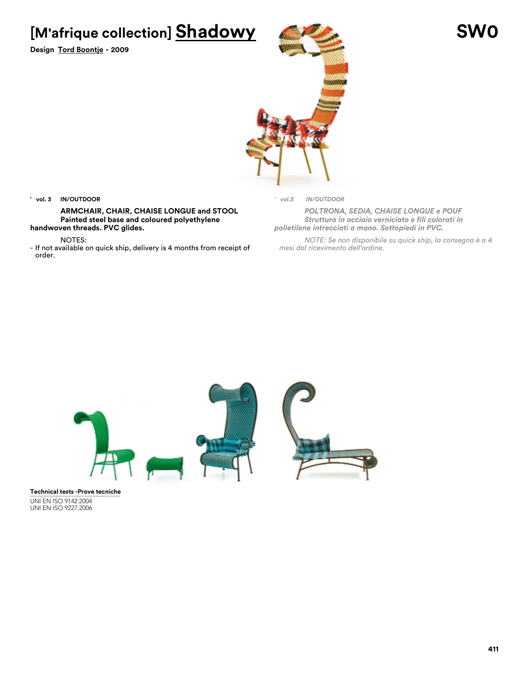**[M'afrique collection] Shadowy SW0**

**Design Tord Boontje - 2009**



#### **' vol. 3 IN/OUTDOOR**

**ARMCHAIR, CHAIR, CHAISE LONGUE and STOOL Painted steel base and coloured polyethylene handwoven threads. PVC glides.**

NOTES:

- If not available on quick ship, delivery is 4 months from receipt of order.

*' vol.3 IN/OUTDOOR*

*POLTRONA, SEDIA, CHAISE LONGUE e POUF Struttura in acciaio verniciato e fili colorati in polietilene intrecciati a mano. Sottopiedi in PVC.*

*NOTE: Se non disponibile su quick ship, la consegna è a 4 mesi dal ricevimento dell'ordine.*



UNI EN ISO 9142:2004 UNI EN ISO 9227:2006 **Technical tests - Prove tecniche**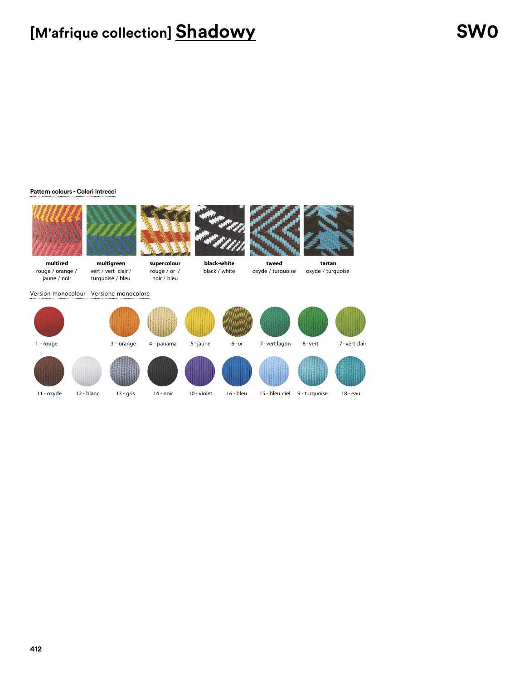## **[M'afrique collection] Shadowy SW0**

### **Pattern colours - Colori intrecci**









**tweed**

**multired** rouge / orange / jaune / noir

vert / vert clair / turquoise / bleu rouge / or / noir / bleu

**black-white** black / white

**tartan** oxyde / turquoise oxyde / turquoise

Version monocolour - Versione monocolore